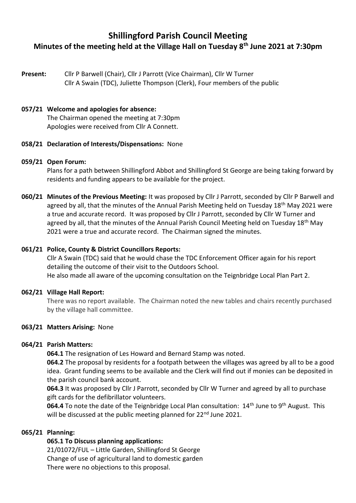# **Shillingford Parish Council Meeting Minutes of the meeting held at the Village Hall on Tuesday 8th June 2021 at 7:30pm**

**Present:** Cllr P Barwell (Chair), Cllr J Parrott (Vice Chairman), Cllr W Turner Cllr A Swain (TDC), Juliette Thompson (Clerk), Four members of the public

#### **057/21 Welcome and apologies for absence:**

The Chairman opened the meeting at 7:30pm Apologies were received from Cllr A Connett.

#### **058/21 Declaration of Interests/Dispensations:** None

#### **059/21 Open Forum:**

Plans for a path between Shillingford Abbot and Shillingford St George are being taking forward by residents and funding appears to be available for the project.

**060/21 Minutes of the Previous Meeting:** It was proposed by Cllr J Parrott, seconded by Cllr P Barwell and agreed by all, that the minutes of the Annual Parish Meeting held on Tuesday 18<sup>th</sup> May 2021 were a true and accurate record. It was proposed by Cllr J Parrott, seconded by Cllr W Turner and agreed by all, that the minutes of the Annual Parish Council Meeting held on Tuesday 18<sup>th</sup> May 2021 were a true and accurate record. The Chairman signed the minutes.

#### **061/21 Police, County & District Councillors Reports:**

Cllr A Swain (TDC) said that he would chase the TDC Enforcement Officer again for his report detailing the outcome of their visit to the Outdoors School. He also made all aware of the upcoming consultation on the Teignbridge Local Plan Part 2.

#### **062/21 Village Hall Report:**

There was no report available. The Chairman noted the new tables and chairs recently purchased by the village hall committee.

#### **063/21 Matters Arising:** None

# **064/21 Parish Matters:**

**064.1** The resignation of Les Howard and Bernard Stamp was noted.

**064.2** The proposal by residents for a footpath between the villages was agreed by all to be a good idea. Grant funding seems to be available and the Clerk will find out if monies can be deposited in the parish council bank account.

**064.3** It was proposed by Cllr J Parrott, seconded by Cllr W Turner and agreed by all to purchase gift cards for the defibrillator volunteers.

064.4 To note the date of the Teignbridge Local Plan consultation: 14<sup>th</sup> June to 9<sup>th</sup> August. This will be discussed at the public meeting planned for 22<sup>nd</sup> June 2021.

# **065/21 Planning:**

# **065.1 To Discuss planning applications:**

21/01072/FUL – Little Garden, Shillingford St George Change of use of agricultural land to domestic garden There were no objections to this proposal.